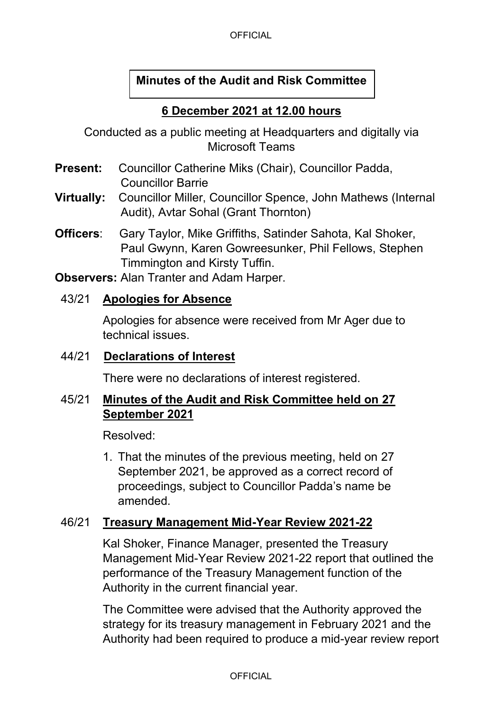# **Minutes of the Audit and Risk Committee**

## **6 December 2021 at 12.00 hours**

Conducted as a public meeting at Headquarters and digitally via Microsoft Teams

- **Present:** Councillor Catherine Miks (Chair), Councillor Padda, Councillor Barrie
- **Virtually:** Councillor Miller, Councillor Spence, John Mathews (Internal Audit), Avtar Sohal (Grant Thornton)
- **Officers**: Gary Taylor, Mike Griffiths, Satinder Sahota, Kal Shoker, Paul Gwynn, Karen Gowreesunker, Phil Fellows, Stephen Timmington and Kirsty Tuffin.

**Observers:** Alan Tranter and Adam Harper.

### 43/21 **Apologies for Absence**

Apologies for absence were received from Mr Ager due to technical issues.

### 44/21 **Declarations of Interest**

There were no declarations of interest registered.

## 45/21 **Minutes of the Audit and Risk Committee held on 27 September 2021**

Resolved:

1. That the minutes of the previous meeting, held on 27 September 2021, be approved as a correct record of proceedings, subject to Councillor Padda's name be amended.

## 46/21 **Treasury Management Mid-Year Review 2021-22**

Kal Shoker, Finance Manager, presented the Treasury Management Mid-Year Review 2021-22 report that outlined the performance of the Treasury Management function of the Authority in the current financial year.

The Committee were advised that the Authority approved the strategy for its treasury management in February 2021 and the Authority had been required to produce a mid-year review report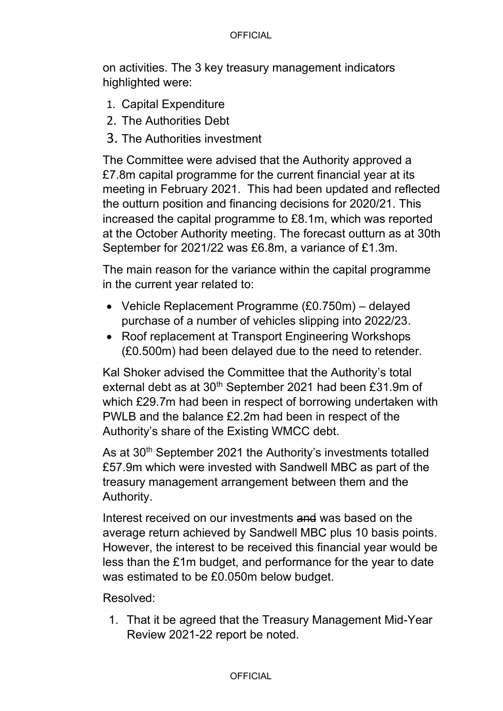#### **OFFICIAL**

on activities. The 3 key treasury management indicators highlighted were:

- 1. Capital Expenditure
- 2. The Authorities Debt
- 3. The Authorities investment

The Committee were advised that the Authority approved a £7.8m capital programme for the current financial year at its meeting in February 2021. This had been updated and reflected the outturn position and financing decisions for 2020/21. This increased the capital programme to £8.1m, which was reported at the October Authority meeting. The forecast outturn as at 30th September for 2021/22 was £6.8m, a variance of £1.3m.

The main reason for the variance within the capital programme in the current year related to:

- Vehicle Replacement Programme (£0.750m) delayed purchase of a number of vehicles slipping into 2022/23.
- Roof replacement at Transport Engineering Workshops (£0.500m) had been delayed due to the need to retender.

Kal Shoker advised the Committee that the Authority's total external debt as at 30<sup>th</sup> September 2021 had been £31.9m of which £29.7m had been in respect of borrowing undertaken with PWLB and the balance £2.2m had been in respect of the Authority's share of the Existing WMCC debt.

As at 30<sup>th</sup> September 2021 the Authority's investments totalled £57.9m which were invested with Sandwell MBC as part of the treasury management arrangement between them and the Authority.

Interest received on our investments and was based on the average return achieved by Sandwell MBC plus 10 basis points. However, the interest to be received this financial year would be less than the £1m budget, and performance for the year to date was estimated to be £0.050m below budget.

Resolved:

1. That it be agreed that the Treasury Management Mid-Year Review 2021-22 report be noted.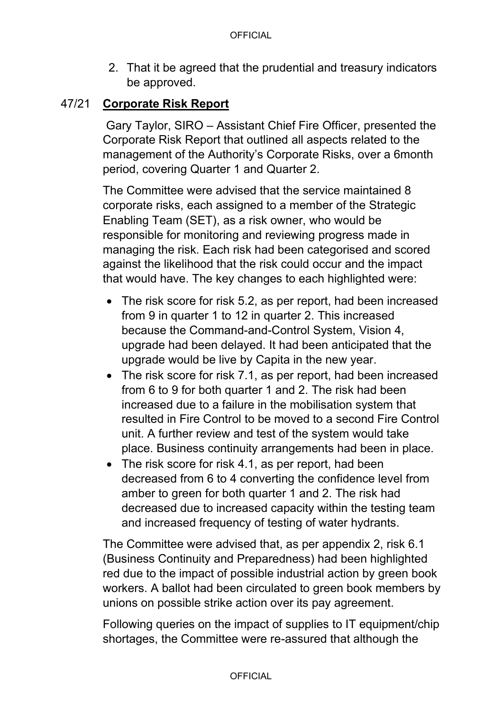2. That it be agreed that the prudential and treasury indicators be approved.

### 47/21 **Corporate Risk Report**

 Gary Taylor, SIRO – Assistant Chief Fire Officer, presented the Corporate Risk Report that outlined all aspects related to the management of the Authority's Corporate Risks, over a 6month period, covering Quarter 1 and Quarter 2.

The Committee were advised that the service maintained 8 corporate risks, each assigned to a member of the Strategic Enabling Team (SET), as a risk owner, who would be responsible for monitoring and reviewing progress made in managing the risk. Each risk had been categorised and scored against the likelihood that the risk could occur and the impact that would have. The key changes to each highlighted were:

- The risk score for risk 5.2, as per report, had been increased from 9 in quarter 1 to 12 in quarter 2. This increased because the Command-and-Control System, Vision 4, upgrade had been delayed. It had been anticipated that the upgrade would be live by Capita in the new year.
- The risk score for risk 7.1, as per report, had been increased from 6 to 9 for both quarter 1 and 2. The risk had been increased due to a failure in the mobilisation system that resulted in Fire Control to be moved to a second Fire Control unit. A further review and test of the system would take place. Business continuity arrangements had been in place.
- The risk score for risk 4.1, as per report, had been decreased from 6 to 4 converting the confidence level from amber to green for both quarter 1 and 2. The risk had decreased due to increased capacity within the testing team and increased frequency of testing of water hydrants.

The Committee were advised that, as per appendix 2, risk 6.1 (Business Continuity and Preparedness) had been highlighted red due to the impact of possible industrial action by green book workers. A ballot had been circulated to green book members by unions on possible strike action over its pay agreement.

Following queries on the impact of supplies to IT equipment/chip shortages, the Committee were re-assured that although the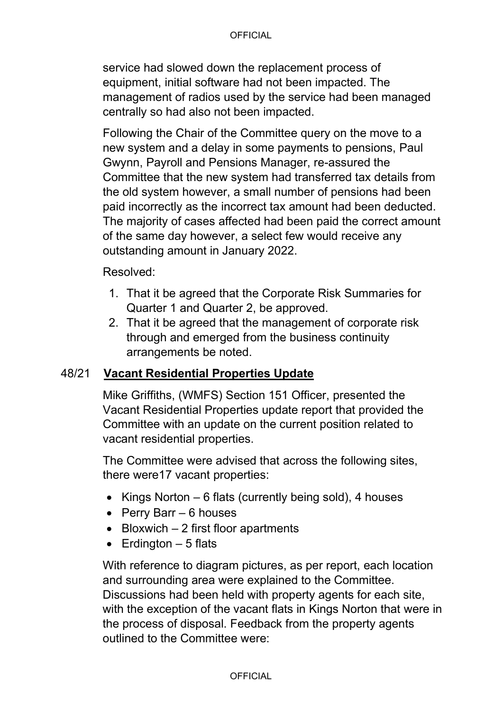#### **OFFICIAL**

service had slowed down the replacement process of equipment, initial software had not been impacted. The management of radios used by the service had been managed centrally so had also not been impacted.

Following the Chair of the Committee query on the move to a new system and a delay in some payments to pensions, Paul Gwynn, Payroll and Pensions Manager, re-assured the Committee that the new system had transferred tax details from the old system however, a small number of pensions had been paid incorrectly as the incorrect tax amount had been deducted. The majority of cases affected had been paid the correct amount of the same day however, a select few would receive any outstanding amount in January 2022.

Resolved:

- 1. That it be agreed that the Corporate Risk Summaries for Quarter 1 and Quarter 2, be approved.
- 2. That it be agreed that the management of corporate risk through and emerged from the business continuity arrangements be noted.

## 48/21 **Vacant Residential Properties Update**

Mike Griffiths, (WMFS) Section 151 Officer, presented the Vacant Residential Properties update report that provided the Committee with an update on the current position related to vacant residential properties.

The Committee were advised that across the following sites, there were17 vacant properties:

- Kings Norton 6 flats (currently being sold), 4 houses
- Perry Barr 6 houses
- Bloxwich 2 first floor apartments
- $\bullet$  Erdington  $-5$  flats

With reference to diagram pictures, as per report, each location and surrounding area were explained to the Committee. Discussions had been held with property agents for each site, with the exception of the vacant flats in Kings Norton that were in the process of disposal. Feedback from the property agents outlined to the Committee were: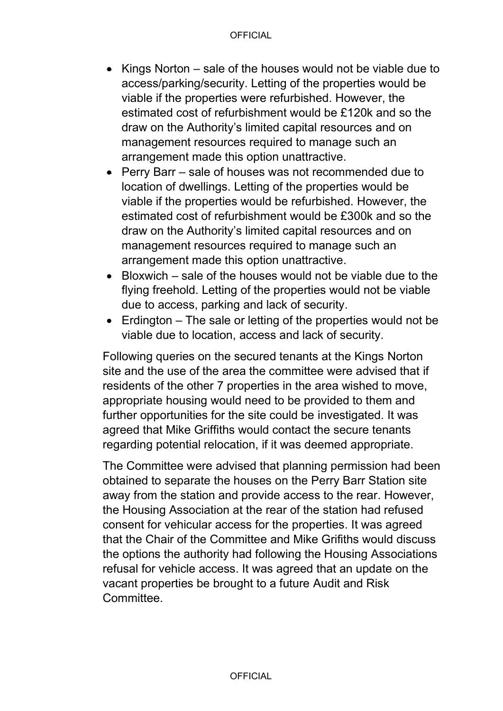- Kings Norton sale of the houses would not be viable due to access/parking/security. Letting of the properties would be viable if the properties were refurbished. However, the estimated cost of refurbishment would be £120k and so the draw on the Authority's limited capital resources and on management resources required to manage such an arrangement made this option unattractive.
- Perry Barr sale of houses was not recommended due to location of dwellings. Letting of the properties would be viable if the properties would be refurbished. However, the estimated cost of refurbishment would be £300k and so the draw on the Authority's limited capital resources and on management resources required to manage such an arrangement made this option unattractive.
- Bloxwich sale of the houses would not be viable due to the flying freehold. Letting of the properties would not be viable due to access, parking and lack of security.
- Erdington The sale or letting of the properties would not be viable due to location, access and lack of security.

Following queries on the secured tenants at the Kings Norton site and the use of the area the committee were advised that if residents of the other 7 properties in the area wished to move, appropriate housing would need to be provided to them and further opportunities for the site could be investigated. It was agreed that Mike Griffiths would contact the secure tenants regarding potential relocation, if it was deemed appropriate.

The Committee were advised that planning permission had been obtained to separate the houses on the Perry Barr Station site away from the station and provide access to the rear. However, the Housing Association at the rear of the station had refused consent for vehicular access for the properties. It was agreed that the Chair of the Committee and Mike Grifiths would discuss the options the authority had following the Housing Associations refusal for vehicle access. It was agreed that an update on the vacant properties be brought to a future Audit and Risk **Committee.**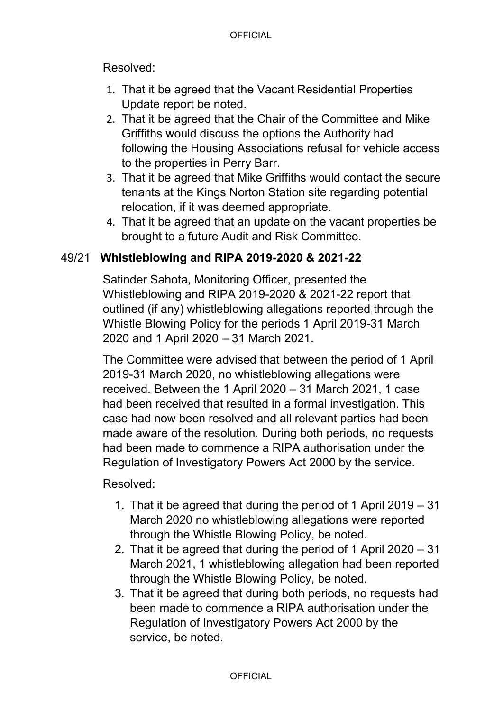Resolved:

- 1. That it be agreed that the Vacant Residential Properties Update report be noted.
- 2. That it be agreed that the Chair of the Committee and Mike Griffiths would discuss the options the Authority had following the Housing Associations refusal for vehicle access to the properties in Perry Barr.
- 3. That it be agreed that Mike Griffiths would contact the secure tenants at the Kings Norton Station site regarding potential relocation, if it was deemed appropriate.
- 4. That it be agreed that an update on the vacant properties be brought to a future Audit and Risk Committee.

## 49/21 **Whistleblowing and RIPA 2019-2020 & 2021-22**

Satinder Sahota, Monitoring Officer, presented the Whistleblowing and RIPA 2019-2020 & 2021-22 report that outlined (if any) whistleblowing allegations reported through the Whistle Blowing Policy for the periods 1 April 2019-31 March 2020 and 1 April 2020 – 31 March 2021.

The Committee were advised that between the period of 1 April 2019-31 March 2020, no whistleblowing allegations were received. Between the 1 April 2020 – 31 March 2021, 1 case had been received that resulted in a formal investigation. This case had now been resolved and all relevant parties had been made aware of the resolution. During both periods, no requests had been made to commence a RIPA authorisation under the Regulation of Investigatory Powers Act 2000 by the service.

Resolved:

- 1. That it be agreed that during the period of 1 April 2019 31 March 2020 no whistleblowing allegations were reported through the Whistle Blowing Policy, be noted.
- 2. That it be agreed that during the period of 1 April 2020 31 March 2021, 1 whistleblowing allegation had been reported through the Whistle Blowing Policy, be noted.
- 3. That it be agreed that during both periods, no requests had been made to commence a RIPA authorisation under the Regulation of Investigatory Powers Act 2000 by the service, be noted.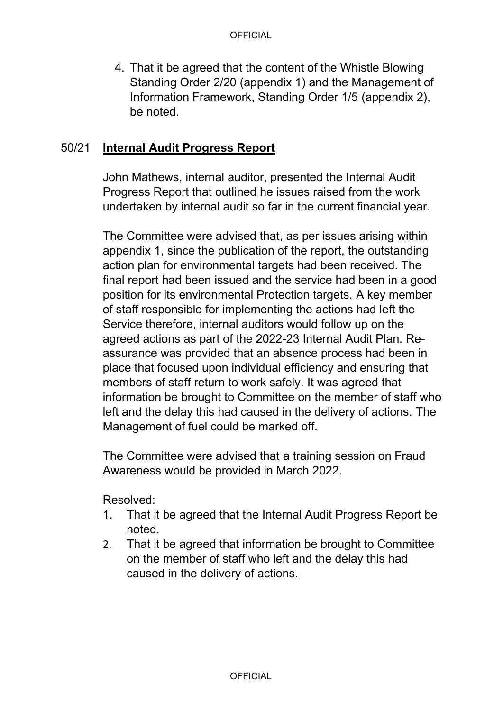4. That it be agreed that the content of the Whistle Blowing Standing Order 2/20 (appendix 1) and the Management of Information Framework, Standing Order 1/5 (appendix 2), be noted.

## 50/21 **Internal Audit Progress Report**

John Mathews, internal auditor, presented the Internal Audit Progress Report that outlined he issues raised from the work undertaken by internal audit so far in the current financial year.

The Committee were advised that, as per issues arising within appendix 1, since the publication of the report, the outstanding action plan for environmental targets had been received. The final report had been issued and the service had been in a good position for its environmental Protection targets. A key member of staff responsible for implementing the actions had left the Service therefore, internal auditors would follow up on the agreed actions as part of the 2022-23 Internal Audit Plan. Reassurance was provided that an absence process had been in place that focused upon individual efficiency and ensuring that members of staff return to work safely. It was agreed that information be brought to Committee on the member of staff who left and the delay this had caused in the delivery of actions. The Management of fuel could be marked off.

The Committee were advised that a training session on Fraud Awareness would be provided in March 2022.

Resolved:

- 1. That it be agreed that the Internal Audit Progress Report be noted.
- 2. That it be agreed that information be brought to Committee on the member of staff who left and the delay this had caused in the delivery of actions.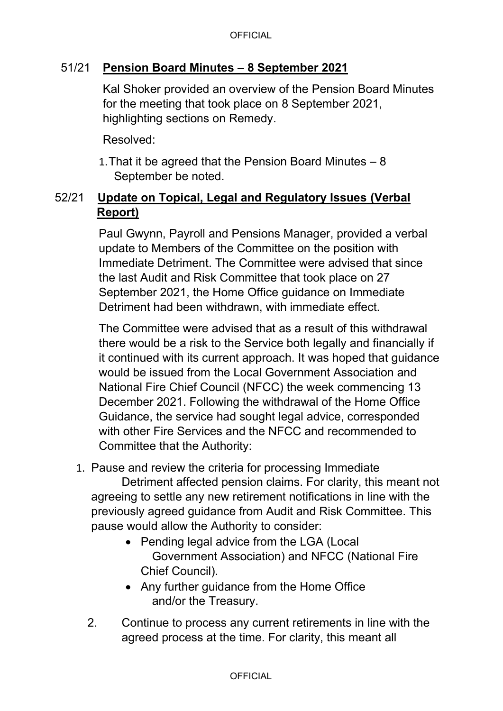### 51/21 **Pension Board Minutes – 8 September 2021**

Kal Shoker provided an overview of the Pension Board Minutes for the meeting that took place on 8 September 2021, highlighting sections on Remedy.

Resolved:

1. That it be agreed that the Pension Board Minutes – 8 September be noted.

## 52/21 **Update on Topical, Legal and Regulatory Issues (Verbal Report)**

Paul Gwynn, Payroll and Pensions Manager, provided a verbal update to Members of the Committee on the position with Immediate Detriment. The Committee were advised that since the last Audit and Risk Committee that took place on 27 September 2021, the Home Office guidance on Immediate Detriment had been withdrawn, with immediate effect.

The Committee were advised that as a result of this withdrawal there would be a risk to the Service both legally and financially if it continued with its current approach. It was hoped that guidance would be issued from the Local Government Association and National Fire Chief Council (NFCC) the week commencing 13 December 2021. Following the withdrawal of the Home Office Guidance, the service had sought legal advice, corresponded with other Fire Services and the NFCC and recommended to Committee that the Authority:

1. Pause and review the criteria for processing Immediate

Detriment affected pension claims. For clarity, this meant not agreeing to settle any new retirement notifications in line with the previously agreed guidance from Audit and Risk Committee. This pause would allow the Authority to consider:

- Pending legal advice from the LGA (Local Government Association) and NFCC (National Fire Chief Council).
- Any further guidance from the Home Office and/or the Treasury.
- 2. Continue to process any current retirements in line with the agreed process at the time. For clarity, this meant all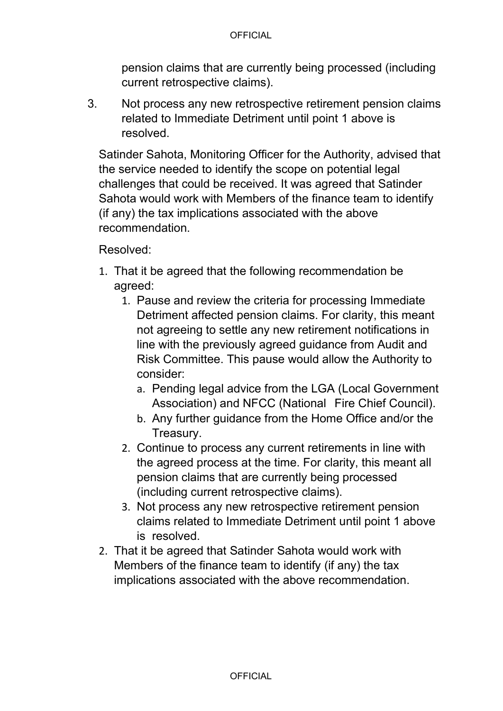pension claims that are currently being processed (including current retrospective claims).

3. Not process any new retrospective retirement pension claims related to Immediate Detriment until point 1 above is resolved.

Satinder Sahota, Monitoring Officer for the Authority, advised that the service needed to identify the scope on potential legal challenges that could be received. It was agreed that Satinder Sahota would work with Members of the finance team to identify (if any) the tax implications associated with the above recommendation.

Resolved:

- 1. That it be agreed that the following recommendation be agreed:
	- 1. Pause and review the criteria for processing Immediate Detriment affected pension claims. For clarity, this meant not agreeing to settle any new retirement notifications in line with the previously agreed guidance from Audit and Risk Committee. This pause would allow the Authority to consider:
		- a. Pending legal advice from the LGA (Local Government Association) and NFCC (National Fire Chief Council).
		- b. Any further guidance from the Home Office and/or the Treasury.
	- 2. Continue to process any current retirements in line with the agreed process at the time. For clarity, this meant all pension claims that are currently being processed (including current retrospective claims).
	- 3. Not process any new retrospective retirement pension claims related to Immediate Detriment until point 1 above is resolved.
- 2. That it be agreed that Satinder Sahota would work with Members of the finance team to identify (if any) the tax implications associated with the above recommendation.